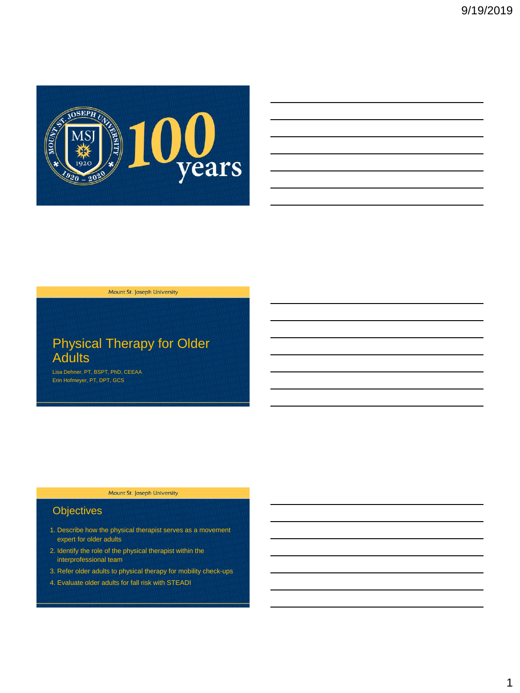

# Physical Therapy for Older **Adults**

Lisa Dehner, PT, BSPT, PhD, CEEAA Erin Hofmeyer, PT, DPT, GCS

#### Mount St. Joseph University

# **Objectives**

- 1. Describe how the physical therapist serves as a movement expert for older adults
- 2. Identify the role of the physical therapist within the interprofessional team
- 3. Refer older adults to physical therapy for mobility check-ups
- 4. Evaluate older adults for fall risk with STEADI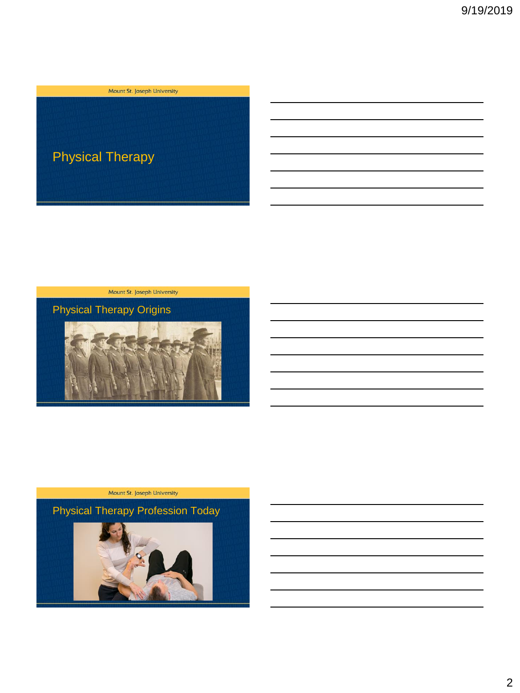

Physical Therapy Origins





Physical Therapy Profession Today

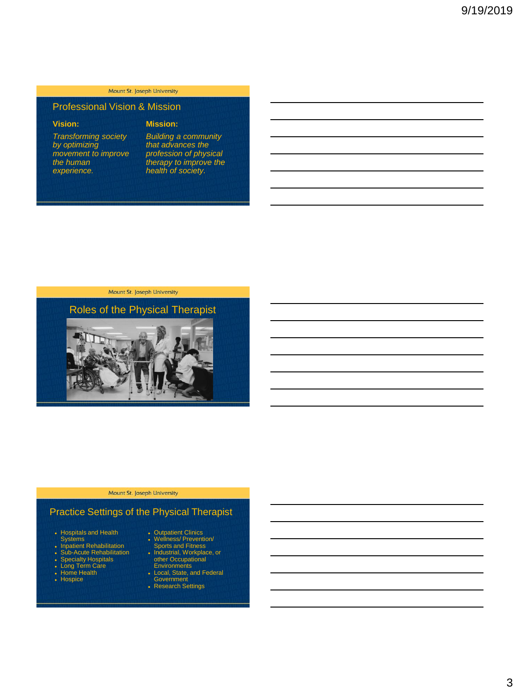# Professional Vision & Mission

### **Vision:**

*Transforming society by optimizing movement to improve the human experience.*

## **Mission:**

*Building a community that advances the profession of physical therapy to improve the health of society.*

#### Mount St. Joseph University



#### Mount St. Joseph University

# Practice Settings of the Physical Therapist

- Hospitals and Health Systems Inpatient Rehabilitation
- 
- Sub-Acute Rehabilitation Specialty Hospitals Long Term Care Home Health
- 
- 
- Hospice
- 
- Wellness/ Prevention/<br>• Wellness/ Prevention/<br>• Industrial, Workplace, or<br>• ther Occupational<br>• Environments<br>• Environments<br>• Local, State, and Federal
- 
- Government Research Settings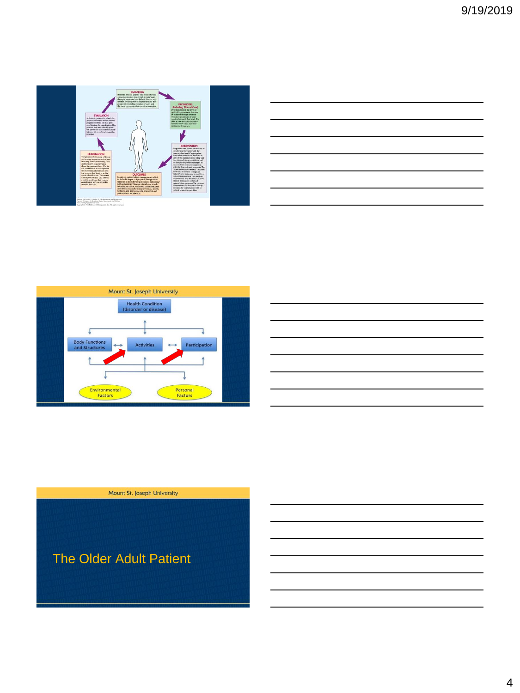







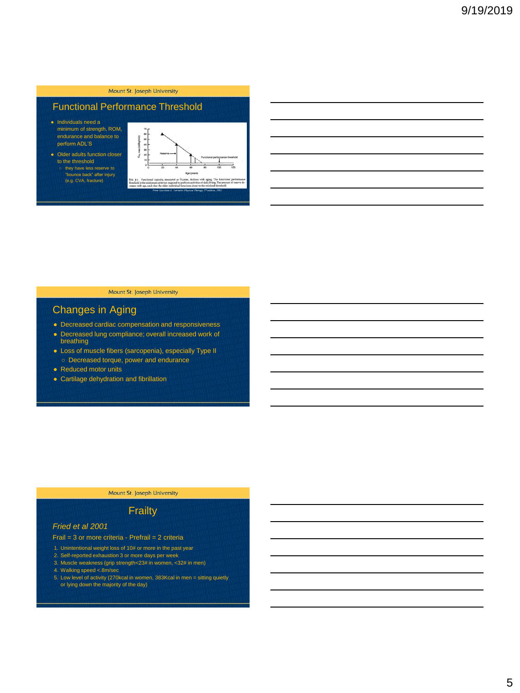# Functional Performance Threshold

- Individuals need a minimum of strength, ROM, endurance and balance to perform ADL'S
- Older adults function closer to the threshold "bounce back" after injury (e.g. CVA, fracture)



#### Mount St. Joseph University

# Changes in Aging

- Decreased cardiac compensation and responsiveness
- Decreased lung compliance; overall increased work of breathing
- Loss of muscle fibers (sarcopenia), especially Type II ○ Decreased torque, power and endurance
- Reduced motor units
- Cartilage dehydration and fibrillation

#### Mount St. Joseph University

### **Frailty**

#### *Fried et al 2001*

#### Frail = 3 or more criteria - Prefrail = 2 criteria

- 1. Unintentional weight loss of 10# or more in the past year
- 2. Self-reported exhaustion 3 or more days per week 3. Muscle weakness (grip strength<23# in women, <32# in men)
- 
- 4. Walking speed <.8m/sec
- 5. Low level of activity (270kcal in women, 383Kcal in men = sitting quietly or lying down the majority of the day)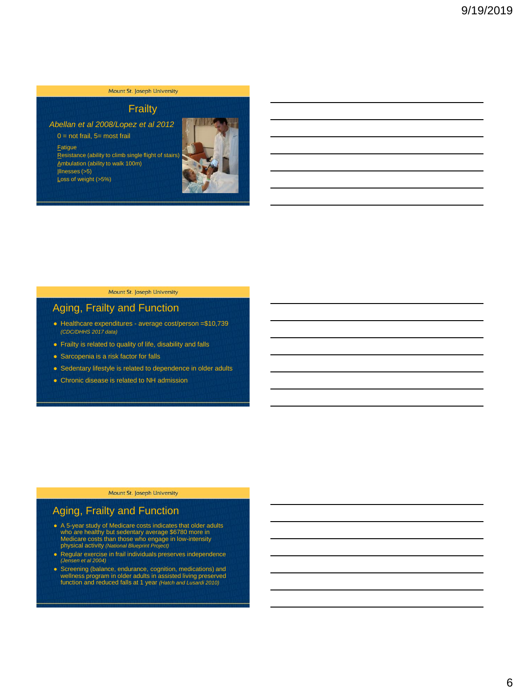# **Frailty**

*Abellan et al 2008/Lopez et al 2012*

 $0 = \text{not } \text{fail}, 5 = \text{most } \text{fail}$ 

**Fatigue** Resistance (ability to climb single flight of stairs) Ambulation (ability to walk 100m) Illnesses (>5) Loss of weight (>5%)



#### Mount St. Joseph University

# Aging, Frailty and Function

- Healthcare expenditures average cost/person =\$10,739 *(CDC/DHHS 2017 data)*
- Frailty is related to quality of life, disability and falls
- Sarcopenia is a risk factor for falls
- Sedentary lifestyle is related to dependence in older adults
- Chronic disease is related to NH admission

Mount St. Joseph University

# Aging, Frailty and Function

- A 5-year study of Medicare costs indicates that older adults<br>who are healthy but sedentary average \$6780 more in<br>Medicare costs than those who engage in low-intensity<br>physical activity (National Blueprint Project)
- Regular exercise in frail individuals preserves independence *(Jensen et al 2004)*
- Screening (balance, endurance, cognition, medications) and wellness program in older adults in assisted living preserved function and reduced falls at 1 year *(Hatch and Lusardi 2010)*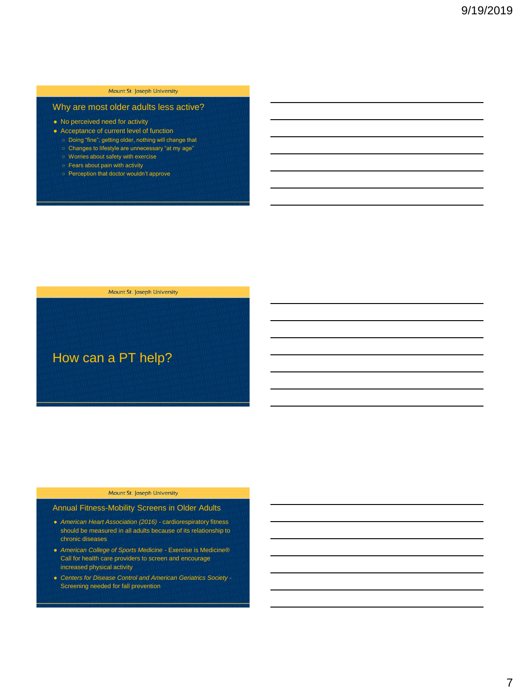## Why are most older adults less active?

- No perceived need for activity
- Acceptance of current level of function
	- Doing "fine"; getting older, nothing will change that ○ Changes to lifestyle are unnecessary "at my age"
	- Worries about safety with exercise
	- Fears about pain with activity
	- Perception that doctor wouldn't approve

Mount St. Joseph University

How can a PT help?

#### Mount St. Joseph University

#### Annual Fitness-Mobility Screens in Older Adults

- *American Heart Association (2016)* cardiorespiratory fitness should be measured in all adults because of its relationship to chronic diseases
- *American College of Sports Medicine* Exercise is Medicine® Call for health care providers to screen and encourage increased physical activity
- *Centers for Disease Control and American Geriatrics Society* Screening needed for fall prevention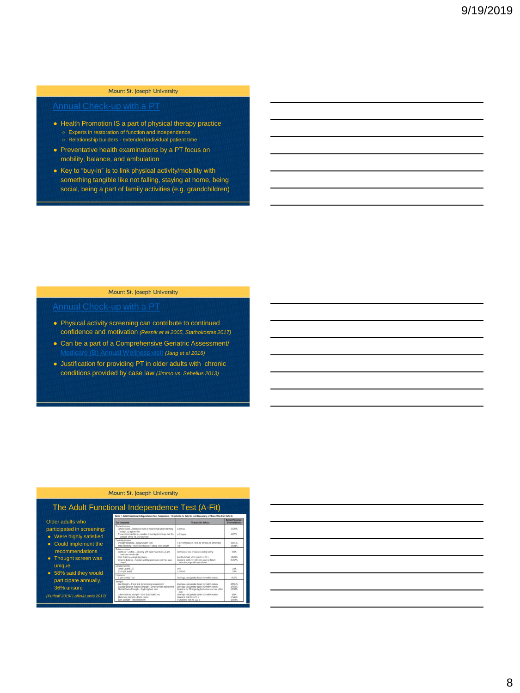- Health Promotion IS a part of physical therapy practice ○ Experts in restoration of function and independence ○ Relationship builders - extended individual patient time
- Preventative health examinations by a PT focus on mobility, balance, and ambulation
- Key to "buy-in" is to link physical activity/mobility with something tangible like not falling, staying at home, being social, being a part of family activities (e.g. grandchildren)

#### Mount St. Joseph University

- Physical activity screening can contribute to continued confidence and motivation *(Resnik et al 2005, Stathokostas 2017)*
- Can be a part of a Comprehensive Geriatric Assessment/ [Medicare \(B\) Annual Wellness visit](https://www.cms.gov/Outreach-and-Education/Medicare-Learning-Network-MLN/MLNProducts/Downloads/AWV_Chart_ICN905706.pdf) *(Jang et al 2016)*
- Justification for providing PT in older adults with chronic conditions provided by case law *(Jimmo vs. Sebelius 2013)*

#### Mount St. Joseph University

 $rac{1}{100}$ 1961%<br>1438%  $\frac{0.0\%}{1840\%}$   $\frac{1840\%}{2157\%}$  $\frac{10\%}{10\%}$  $411\%$  $\begin{array}{l} 1951\% \\ 2465\% \\ 1202\% \end{array}$ 38%<br>17/0/%<br>20/54%

### The Adult Functional Independence Test (A-Fit)

|                                                                          | Table 1, Adult Functional Independence Test Components, Thresholds for Deficits, and Frequency of Those Who Ha                                                                                                                                                                                    |                                                                                                                                                                                                                                                                                    |
|--------------------------------------------------------------------------|---------------------------------------------------------------------------------------------------------------------------------------------------------------------------------------------------------------------------------------------------------------------------------------------------|------------------------------------------------------------------------------------------------------------------------------------------------------------------------------------------------------------------------------------------------------------------------------------|
| Older adults who                                                         | <b>Test Component</b>                                                                                                                                                                                                                                                                             | Thrashold for Definits                                                                                                                                                                                                                                                             |
| participated in screening:<br>Were highly satisfied<br>$\bullet$         | <b>Rothard teleperni</b><br>Canvical Spine-distance of back of head to wall when standing<br>flow teniega qui triplente<br>Thoracic/Lumbar Spine-number of investigator's finger that fits<br>between lowest rib and filsc creed.                                                                 | aud.O.nm<br>$2$ lingues                                                                                                                                                                                                                                                            |
| Could implement the                                                      | Finaltylev Schwarts<br>Shoulder Finalistiy-Anley Scretch Text<br>Arabix Flexibility-Active donsflexion in sitting, knee straight                                                                                                                                                                  | >4 in for makes or >8 in for females on other side.<br>$-91$                                                                                                                                                                                                                       |
| recommendations<br>Thought screen was                                    | <b>Bakero snages</b><br>Vestibular Function-Standing with rapid head turns up and<br>down and side to side<br>Static Balance-Single lag stance<br>Dynamic Balanco-Tandam walking eyes open and then eyes<br>rinsen                                                                                | Digitives or loss of balance during testing<br>Installity to hold either side for ≥20 s.<br>Unable to walk 2 m with eyes open or brie 5.<br>error-has stags with eyes closed                                                                                                       |
| unique                                                                   | General mobility<br>Timed Up and Go<br>10-m galt speed                                                                                                                                                                                                                                            | $>0$ is<br>$<1.0$ mb                                                                                                                                                                                                                                                               |
| 58% said they would                                                      | Englangering<br>2-Minute Step Test                                                                                                                                                                                                                                                                | Used ago- and gender-based normalive values                                                                                                                                                                                                                                        |
| participate annually,<br>36% unsure<br>(Puthoff 2019/ Laflin&Lewis 2017) | Strangth<br>Grip Strungth-Hand anp dynamomator assessment.<br>Shoulder External Rotetion Strength-Dynamornator assessment.<br>Plantar Flexion Strength-Single leg haal raise<br>Lower extremly strength-30-s St-to-Stand Test<br>Abdominal Strangfis-Prona planks<br>Back Strongth-Back extension | Used ago- and gender-based normative values<br>Used ago, and pender based normalive values.<br>Unable to do 25 single log heal raisos in a row, ether<br><b>Kide</b><br>Used ago- and pandar-based normative values<br>Unable to hold for a 7.1 s.<br>in Unable to hold for 120 s. |

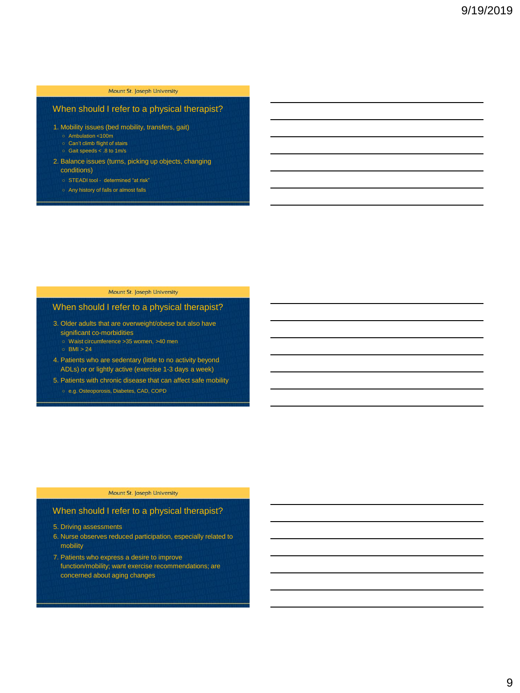### When should I refer to a physical therapist?

- 1. Mobility issues (bed mobility, transfers, gait)
	- Ambulation <100m Can't climb flight of stairs
	- Gait speeds < .8 to 1m/s
	-
- 2. Balance issues (turns, picking up objects, changing
	- conditions)
	- STEADI tool determined "at risk"
	- Any history of falls or almost falls

#### Mount St. Joseph University

## When should I refer to a physical therapist?

- 3. Older adults that are overweight/obese but also have significant co-morbidities
	- Waist circumference >35 women, >40 men
	- $O$  BMI  $> 24$
- 4. Patients who are sedentary (little to no activity beyond ADLs) or or lightly active (exercise 1-3 days a week)
- 5. Patients with chronic disease that can affect safe mobility
	- e.g. Osteoporosis, Diabetes, CAD, COPD

#### Mount St. Joseph University

#### When should I refer to a physical therapist?

- 5. Driving assessments
- 6. Nurse observes reduced participation, especially related to mobility
- 7. Patients who express a desire to improve function/mobility; want exercise recommendations; are concerned about aging changes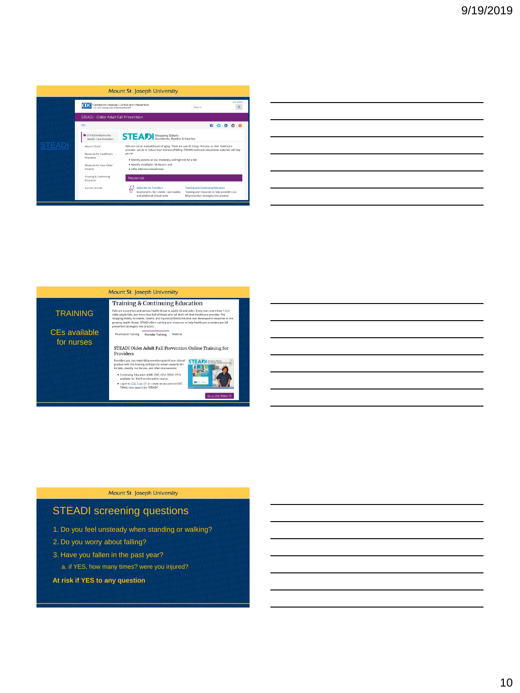|        |                                                                                                             | Mount St. Joseph University                                                                                                                                                                                   |                                                                                                                                      |                                                                                                                    |  |  |
|--------|-------------------------------------------------------------------------------------------------------------|---------------------------------------------------------------------------------------------------------------------------------------------------------------------------------------------------------------|--------------------------------------------------------------------------------------------------------------------------------------|--------------------------------------------------------------------------------------------------------------------|--|--|
|        | <b>Conters for Disease Control and Prevention</b><br>CDC 24/7 Soving Lives, Rotecting People <sup>ran</sup> |                                                                                                                                                                                                               | Search                                                                                                                               | A-Z Index<br>Q                                                                                                     |  |  |
|        | STEADI - Older Adult Fall Prevention                                                                        |                                                                                                                                                                                                               |                                                                                                                                      |                                                                                                                    |  |  |
|        | enc.                                                                                                        |                                                                                                                                                                                                               |                                                                                                                                      | $\begin{array}{ccccccccccccccccc} \bullet & \bullet & \bullet & \bullet & \bullet & \bullet & \bullet \end{array}$ |  |  |
|        | <b>CESTEADI Initiative for</b><br>Health Care Providers                                                     | <b>STEAD</b> Stopping Elderly <b>Arctifiers</b> & Injuries                                                                                                                                                    |                                                                                                                                      |                                                                                                                    |  |  |
| STEADI | About STEADL                                                                                                | Falls are not an inevitable part of aging. There are specific things that you, as their healthcare<br>provider, can do to reduce their chances of falling. STEADI's tools and educational materials will help |                                                                                                                                      |                                                                                                                    |  |  |
|        | Materials for Healthcare +<br>Providers                                                                     | you to:<br>. Identify patients at low, moderate, and high risk for a fall;                                                                                                                                    |                                                                                                                                      |                                                                                                                    |  |  |
|        | Materials for Your Older<br>Patients                                                                        | . Identify modifiable risk factors; and<br>· Offer effective interventions.                                                                                                                                   |                                                                                                                                      |                                                                                                                    |  |  |
|        | Training & Continuing<br><b>Education</b>                                                                   | <b>Resources</b>                                                                                                                                                                                              |                                                                                                                                      |                                                                                                                    |  |  |
|        | Success Stories                                                                                             | Materials for Providers<br>Assessments, fact sheets, case studies,<br>and additional clinical tools                                                                                                           | <b>Training and Continuing Education</b><br>Training and resources to help providers put<br>fall prevention strategies into practice |                                                                                                                    |  |  |
|        |                                                                                                             |                                                                                                                                                                                                               |                                                                                                                                      |                                                                                                                    |  |  |

|                                                                             | ,我们也不会有什么?""我们的人,我们也不会有什么?""我们的人,我们也不会有什么?""我们的人,我们也不会有什么?""我们的人,我们也不会有什么?""我们的人                                     |  |  |  |
|-----------------------------------------------------------------------------|----------------------------------------------------------------------------------------------------------------------|--|--|--|
|                                                                             |                                                                                                                      |  |  |  |
|                                                                             | <u> 1989 - Andrea Santa Alemania, amerikana amerikana amerikana amerikana amerikana amerikana amerikana amerikan</u> |  |  |  |
| <u> 1989 - Andrea Stadt Britain, fransk politik forsk politik (d. 1989)</u> |                                                                                                                      |  |  |  |
|                                                                             |                                                                                                                      |  |  |  |
|                                                                             |                                                                                                                      |  |  |  |
|                                                                             |                                                                                                                      |  |  |  |



# STEADI screening questions

- 1. Do you feel unsteady when standing or walking?
- 2. Do you worry about falling?
- 3. Have you fallen in the past year?
	- a. if YES, how many times? were you injured?
- **At risk if YES to any question**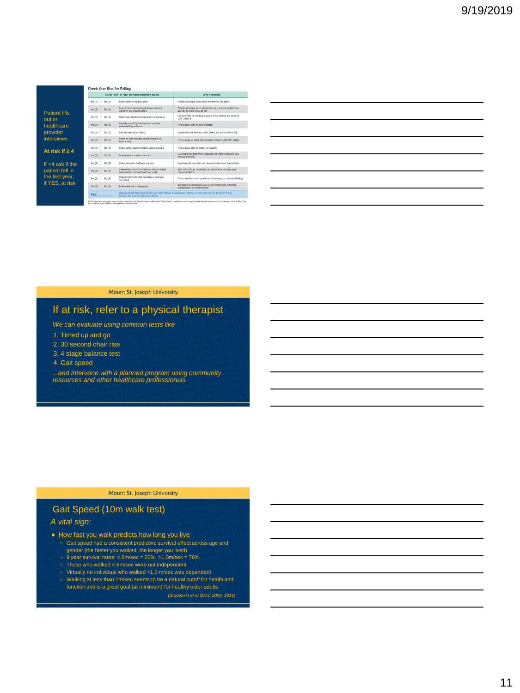|                                |           |        | Circle "Yes" or "No" for each statement below                                           | Why it matters                                                                                                     |
|--------------------------------|-----------|--------|-----------------------------------------------------------------------------------------|--------------------------------------------------------------------------------------------------------------------|
|                                | Yes (2)   | No (0) | I have fallen in the past year.                                                         | People who have fallen once are likely to fall again.                                                              |
|                                | Yes $(2)$ | No ros | Luse or have been advised to use a cane or<br>walker to get around safely.              | People who have been advised to use a cane or water may.<br>aireach be more likely to fail.                        |
| <b>Patient fills</b><br>out or | Yes (T)   | No (0) | Sometimes I feel unsteady when I am walking.                                            | Unsteadiness or needing support while walking are signs of<br>poor belance.                                        |
| healthcare                     | Yes CD    | No (0) | I steady myself by holding onto furniture<br>when walking at home.                      | This is also a sign of poor balance.                                                                               |
| provider                       | Yes (T)   | No (0) | I am womled about falling.                                                              | People who are worried about falling are more likely to fall.                                                      |
| <b>interviews</b>              | Yes (T)   | No (0) | I need to push with my hands to stand up<br>from a chair.                               | This is a sign of weak leg muscles, a major reason for falling.                                                    |
|                                | Yes (T)   | No (0) | I have some trouble stepping up onto a curb.                                            | This is also a sign of weak leg muscles.                                                                           |
| At risk if $\geq 4$            | Yes (7)   | No (0) | Lofton have to rush to the toilet                                                       | Rushing to the bathroom, especially at night, increases your<br>chance of falling.                                 |
| If $<$ 4 ask if the            | Yes (1)   | No (0) | I have lost some feeling in my feet.                                                    | Numbriess in your feet can cause stumbles and lead to falls.                                                       |
| patient fell in                | Yes (1)   | No (0) | I take medicine that sometimes makes me feel.<br>light-headed or more tired than usual. | Side effects from medicines can sometimes increase your<br>chance of falling.                                      |
| the last year,                 | Yes (T)   | No (0) | I take medicine to help me sleep or improve<br>my mood.                                 | These medicines can sometimes increase your chance of falling.                                                     |
| if YES, at risk                | Yes CD    | No (0) | I often feel sad or depressed.                                                          | Symptoms of depression, such as not feeling well or feeling<br>slowed down, are linked to falls.                   |
|                                | Total     |        | Discuss this brochure with your doctor.                                                 | Add up the rumber of points for each "yes" anywer. If you scored 4 points or more, you may be at risk for falling. |

| <u> 1989 - Johann Stoff, amerikansk politiker (d. 1989)</u>                                                                                                                                                                   |  |  |
|-------------------------------------------------------------------------------------------------------------------------------------------------------------------------------------------------------------------------------|--|--|
| <u> 1989 - Johann Stoff, amerikansk politiker (d. 1989)</u>                                                                                                                                                                   |  |  |
|                                                                                                                                                                                                                               |  |  |
| <u> 1989 - Johann Stoff, deutscher Stoff, der Stoff, der Stoff, der Stoff, der Stoff, der Stoff, der Stoff, der S</u>                                                                                                         |  |  |
| the control of the control of the control of the control of the control of the control of the control of the control of the control of the control of the control of the control of the control of the control of the control |  |  |
|                                                                                                                                                                                                                               |  |  |
|                                                                                                                                                                                                                               |  |  |

 $\overline{\phantom{0}}$ 

Mount St. Joseph University

# If at risk, refer to a physical therapist

*We can evaluate using common tests like*

- 1. Timed up and go
- 2. 30 second chair rise
- 3. 4 stage balance test
- 4. Gait speed

*...and intervene with a planned program using community resources and other healthcare professionals*

#### Mount St. Joseph University

# Gait Speed (10m walk test)

#### *A vital sign:*

- How fast you walk predicts how long you live
	- Gait speed had a consistent predictive survival effect across age and
	- gender (the faster you walked, the longer you lived)<br>○ 9 year survival rates: <.6m/sec = 26%, >1.0m/sec = 76%
	-
	- Those who walked <.6m/sec were not independent
	- Virtually no individual who walked >1.0 m/sec was dependent
	- Walking at less than 1m/sec seems to be a natural cutoff for health and function and is a great goal (at minimum) for healthy older adults

*(Studenski et al 2003, 2008, 2011)*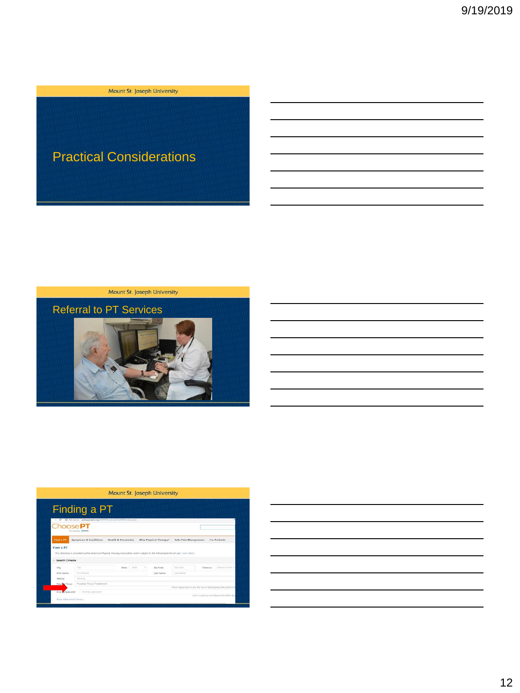#### **Example 2018 Mount St. Joseph University**

# Practical Considerations

Mount St. Joseph University



|                      | Finding a PT                                                                                                                     |                     |         |                       |                                                               |          |                  |
|----------------------|----------------------------------------------------------------------------------------------------------------------------------|---------------------|---------|-----------------------|---------------------------------------------------------------|----------|------------------|
| Choose <sub>PT</sub> | @ Not secure   astanopsacta.org/AFTAFTD/rectory/FedAFTD/rectory.aige<br>Provided by <b>WAPTA</b>                                 |                     |         |                       |                                                               |          |                  |
| Find a PT            | Symptoms & Conditions                                                                                                            | Health & Prevention |         | Why Physical Therapy? | Safe Pain Management                                          |          | For Patients     |
|                      |                                                                                                                                  |                     |         |                       |                                                               |          |                  |
| Find a PT            |                                                                                                                                  |                     |         |                       |                                                               |          |                  |
|                      | This directory is provided by the American Physical Therapy Association and is subject to the following terms of use: Learn More |                     |         |                       |                                                               |          |                  |
| Search Criteria      |                                                                                                                                  |                     |         |                       |                                                               |          |                  |
| City                 | City.                                                                                                                            | State               | 1 State | Zip Code              | Zia Code                                                      | Distance | Distance From C. |
| First Name           | First Name                                                                                                                       |                     |         | Last Name             | Last Martin                                                   |          |                  |
| Setting              | Setting                                                                                                                          |                     |         |                       |                                                               |          |                  |
| Practice Focus       | Practice Focus/Treatment                                                                                                         |                     |         |                       | Press space bar to see the bit or start typing the practice i |          |                  |

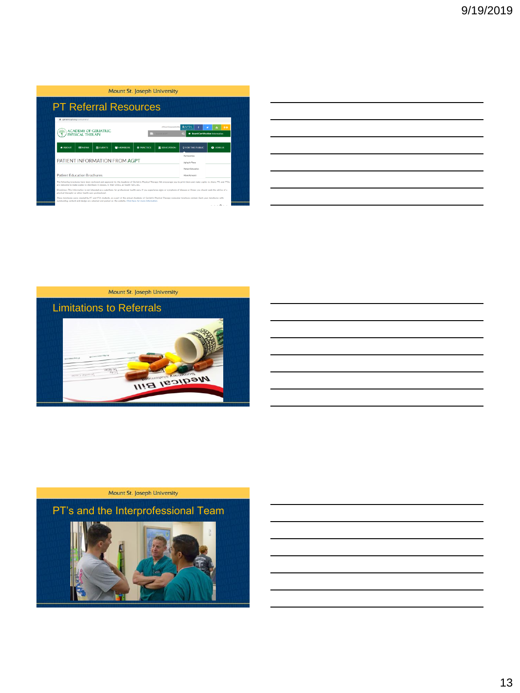| <b>PT Referral Resources</b>                                                                                                                                                                                                                                                                                      |                                        |                                     |                                              |
|-------------------------------------------------------------------------------------------------------------------------------------------------------------------------------------------------------------------------------------------------------------------------------------------------------------------|----------------------------------------|-------------------------------------|----------------------------------------------|
| @ geriatricspt.org/consumers/<br><b>ACADEMY OF GERIATRIC</b><br>PHYSICAL THERAPY                                                                                                                                                                                                                                  | Search AGPT                            | A Drew of Commercial of the<br>BAPI | ۵o<br><b>Board Certification Information</b> |
| <b># ABOUT</b><br><b>MEVENTS</b><br><b>BILLY ALEVANS</b><br><b>MEMBERS</b>                                                                                                                                                                                                                                        | <b>O</b> PRACTICE<br><b>TEDUCATION</b> | <b>2 FOR THE PUBLIC</b>             | <b>Q</b> JOIN US                             |
|                                                                                                                                                                                                                                                                                                                   |                                        |                                     |                                              |
| PATIENT INFORMATION FROM AGPT                                                                                                                                                                                                                                                                                     |                                        | Partnarching<br>Aging In Place      |                                              |
|                                                                                                                                                                                                                                                                                                                   |                                        | Patient Education<br>Move Forward   |                                              |
| <b>Patient Education Brochures</b><br>The following brochures have been reviewed and approved by the Academy of Gerlatric Physical Therapy. We encourage you to print them and make copies to share. PTs and PTAs<br>are welcome to make copies to distribute in classes, in their clinics, at health fairs, etc. |                                        |                                     |                                              |

|                                                            |  | <u> 1989 - Johann Stoff, amerikansk politiker (d. 1989)</u> |
|------------------------------------------------------------|--|-------------------------------------------------------------|
|                                                            |  |                                                             |
|                                                            |  |                                                             |
| <u> 1989 - Johann Barn, amerikansk politiker (d. 1989)</u> |  |                                                             |
|                                                            |  |                                                             |
|                                                            |  |                                                             |



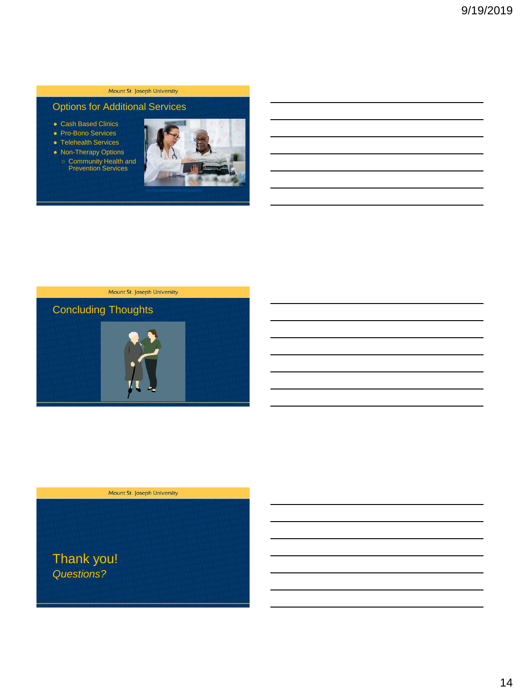# Options for Additional Services

- Cash Based Clinics
- Pro-Bono Services
- Telehealth Services
- Non-Therapy Options ○ Community Health and Prevention Services





Mount St. Joseph University

Thank you! *Questions?*